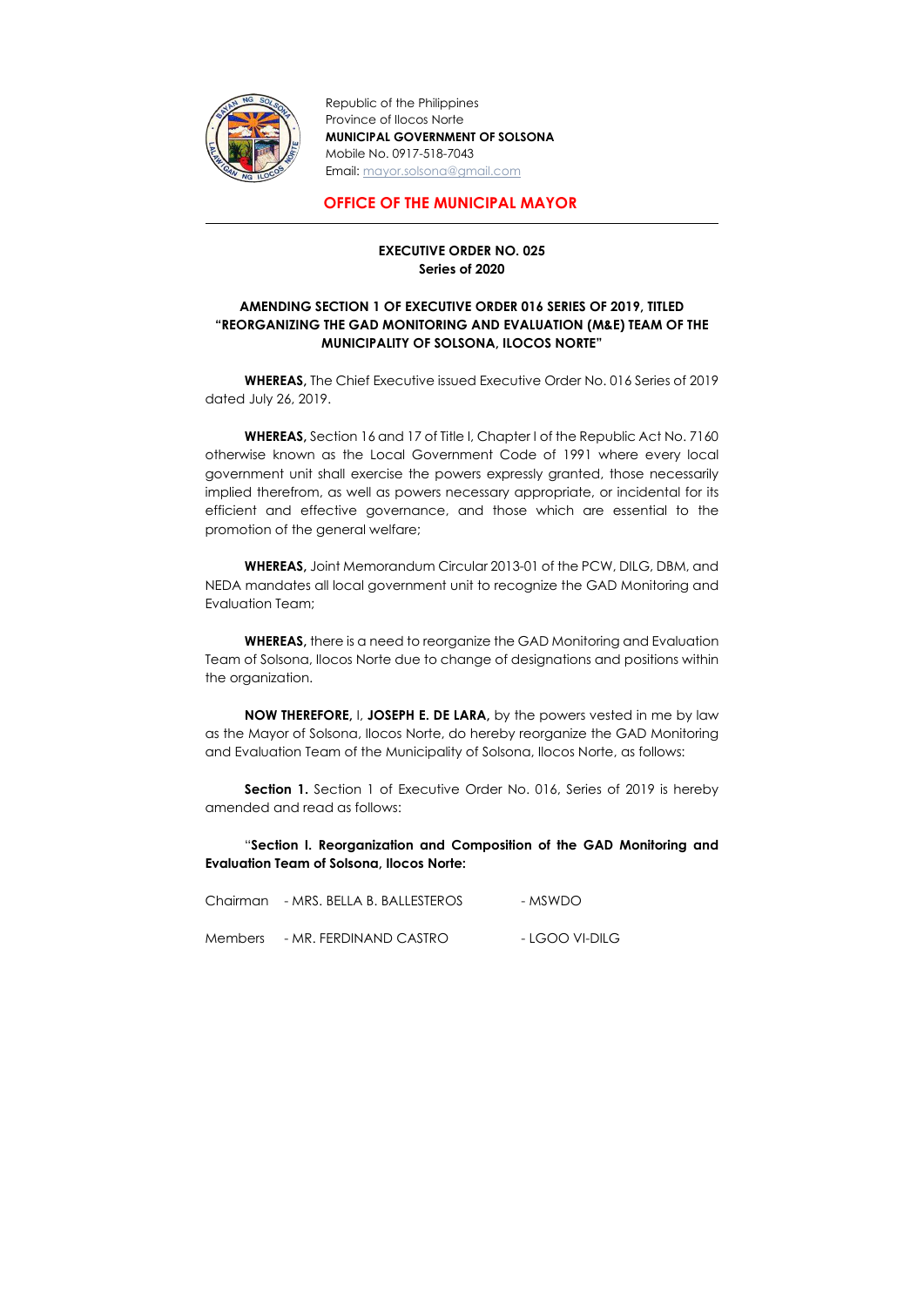

Republic of the Philippines Province of Ilocos Norte MUNICIPAL GOVERNMENT OF SOLSONA Mobile No. 0917-518-7043 Email: mayor.solsona@gmail.com

## OFFICE OF THE MUNICIPAL MAYOR

## EXECUTIVE ORDER NO. 025 Series of 2020

## AMENDING SECTION 1 OF EXECUTIVE ORDER 016 SERIES OF 2019, TITLED "REORGANIZING THE GAD MONITORING AND EVALUATION (M&E) TEAM OF THE MUNICIPALITY OF SOLSONA, ILOCOS NORTE"

 WHEREAS, The Chief Executive issued Executive Order No. 016 Series of 2019 dated July 26, 2019.

WHEREAS, there is a need to reorganize the GAD Monitoring and Evaluation Team of Solsona, Ilocos Norte due to change of designations and positions within the organization.

WHEREAS, Section 16 and 17 of Title I, Chapter I of the Republic Act No. 7160 otherwise known as the Local Government Code of 1991 where every local government unit shall exercise the powers expressly granted, those necessarily implied therefrom, as well as powers necessary appropriate, or incidental for its efficient and effective governance, and those which are essential to the promotion of the general welfare;

**Section 1.** Section 1 of Executive Order No. 016, Series of 2019 is hereby amended and read as follows:

WHEREAS, Joint Memorandum Circular 2013-01 of the PCW, DILG, DBM, and NEDA mandates all local government unit to recognize the GAD Monitoring and Evaluation Team;

NOW THEREFORE, I, JOSEPH E. DE LARA, by the powers vested in me by law as the Mayor of Solsona, Ilocos Norte, do hereby reorganize the GAD Monitoring and Evaluation Team of the Municipality of Solsona, Ilocos Norte, as follows:

"Section I. Reorganization and Composition of the GAD Monitoring and Evaluation Team of Solsona, Ilocos Norte:

Chairman - MRS. BELLA B. BALLESTEROS - MSWDO

Members - MR. FERDINAND CASTRO - LGOO VI-DILG